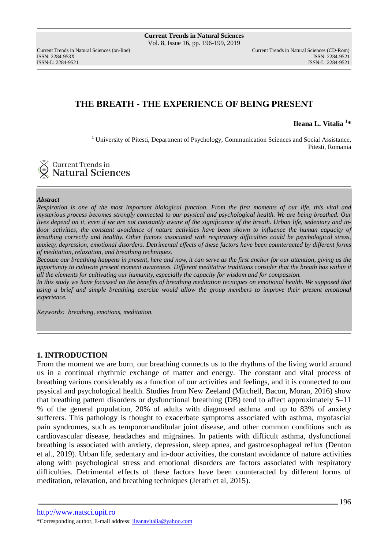# **THE BREATH - THE EXPERIENCE OF BEING PRESENT**

**Ileana L. Vitalia <sup>1</sup> \*** 

<sup>1</sup> University of Pitesti, Department of Psychology, Communication Sciences and Social Assistance, Pitesti, Romania

**Current Trends in Natural Sciences** 

#### *Abstract*

*Respiration is one of the most important biological function. From the first moments of our life, this vital and mysterious process becomes strongly connected to our psysical and psychological health. We are being breathed. Our lives depend on it, even if we are not constantly aware of the significance of the breath. Urban life, sedentary and in*door activities, the constant avoidance of nature activities have been shown to influence the human capacity of *breathing correctly and healthy. Other factors associated with respiratory difficulties could be psychological stress, anxiety, depression, emotional disorders. Detrimental effects of these factors have been counteracted by different forms of meditation, relaxation, and breathing techniques.* 

*Becouse our breathing happens in present, here and now, it can serve as the first anchor for our attention, giving us the opportunity to cultivate present moment awareness. Different meditative traditions consider that the breath has within it all the elements for cultivating our humanity, especially the capacity for wisdom and for compassion.* 

In this study we have focussed on the benefits of breathing meditation tecniques on emotional health. We supposed that *using a brief and simple breathing exercise would allow the group members to improve their present emotional experience.* 

*Keywords: breathing, emotions, meditation.* 

### **1. INTRODUCTION**

From the moment we are born, our breathing connects us to the rhythms of the living world around us in a continual rhythmic exchange of matter and energy. The constant and vital process of breathing various considerably as a function of our activities and feelings, and it is connected to our psysical and psychological health. Studies from New Zeeland (Mitchell, Bacon, Moran, 2016) show that breathing pattern disorders or dysfunctional breathing (DB) tend to affect approximately 5–11 % of the general population, 20% of adults with diagnosed asthma and up to 83% of anxiety sufferers. This pathology is thought to exacerbate symptoms associated with asthma, myofascial pain syndromes, such as temporomandibular joint disease, and other common conditions such as cardiovascular disease, headaches and migraines. In patients with difficult asthma, dysfunctional breathing is associated with anxiety, depression, sleep apnea, and gastroesophageal reflux (Denton et al., 2019). Urban life, sedentary and in-door activities, the constant avoidance of nature activities along with psychological stress and emotional disorders are factors associated with respiratory difficulties. Detrimental effects of these factors have been counteracted by different forms of meditation, relaxation, and breathing techniques (Jerath et al, 2015).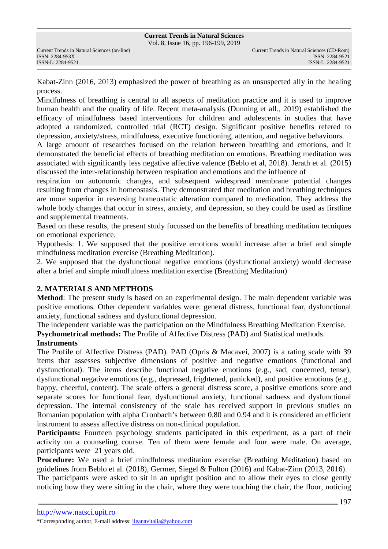Kabat-Zinn (2016, 2013) emphasized the power of breathing as an unsuspected ally in the healing process.

Mindfulness of breathing is central to all aspects of meditation practice and it is used to improve human health and the quality of life. Recent meta-analysis (Dunning et all., 2019) established the efficacy of mindfulness based interventions for children and adolescents in studies that have adopted a randomized, controlled trial (RCT) design. Significant positive benefits refered to depression, anxiety/stress, mindfulness, executive functioning, attention, and negative behaviours.

A large amount of researches focused on the relation between breathing and emotions, and it demonstrated the beneficial effects of breathing meditation on emotions. Breathing meditation was associated with significantly less negative affective valence (Beblo et al, 2018). Jerath et al. (2015) discussed the inter-relationship between respiration and emotions and the influence of

respiration on autonomic changes, and subsequent widespread membrane potential changes resulting from changes in homeostasis. They demonstrated that meditation and breathing techniques are more superior in reversing homeostatic alteration compared to medication. They address the whole body changes that occur in stress, anxiety, and depression, so they could be used as firstline and supplemental treatments.

Based on these results, the present study focussed on the benefits of breathing meditation tecniques on emotional experience.

Hypothesis: 1. We supposed that the positive emotions would increase after a brief and simple mindfulness meditation exercise (Breathing Meditation).

2. We supposed that the dysfunctional negative emotions (dysfunctional anxiety) would decrease after a brief and simple mindfulness meditation exercise (Breathing Meditation)

### **2. MATERIALS AND METHODS**

**Method**: The present study is based on an experimental design. The main dependent variable was positive emotions. Other dependent variables were: general distress, functional fear, dysfunctional anxiety, functional sadness and dysfunctional depression.

The independent variable was the participation on the Mindfulness Breathing Meditation Exercise.

**Psychometrical methods:** The Profile of Affective Distress (PAD) and Statistical methods.

### **Instruments**

The Profile of Affective Distress (PAD). PAD (Opris & Macavei, 2007) is a rating scale with 39 items that assesses subjective dimensions of positive and negative emotions (functional and dysfunctional). The items describe functional negative emotions (e.g., sad, concerned, tense), dysfunctional negative emotions (e.g., depressed, frightened, panicked), and positive emotions (e.g., happy, cheerful, content). The scale offers a general distress score, a positive emotions score and separate scores for functional fear, dysfunctional anxiety, functional sadness and dysfunctional depression. The internal consistency of the scale has received support in previous studies on Romanian population with alpha Cronbach's between 0.80 and 0.94 and it is considered an efficient instrument to assess affective distress on non-clinical population.

**Participants:** Fourteen psychology students participated in this experiment, as a part of their activity on a counseling course. Ten of them were female and four were male. On average, participants were 21 years old.

**Procedure:** We used a brief mindfulness meditation exercise (Breathing Meditation) based on guidelines from Beblo et al. (2018), Germer, Siegel & Fulton (2016) and Kabat-Zinn (2013, 2016).

The participants were asked to sit in an upright position and to allow their eyes to close gently noticing how they were sitting in the chair, where they were touching the chair, the floor, noticing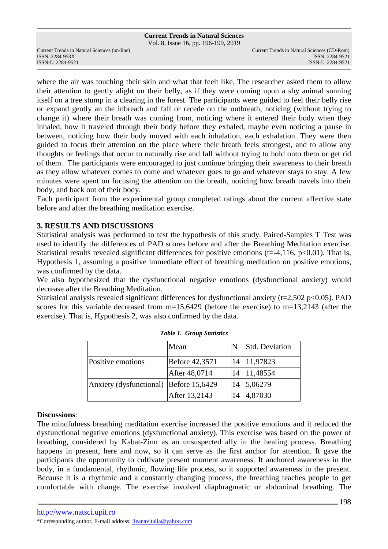## **Current Trends in Natural Sciences**

Vol. 8, Issue 16, pp. 196-199, 2019

ISSN: 2284-953XISSN: 2284-9521

where the air was touching their skin and what that feelt like. The researcher asked them to allow their attention to gently alight on their belly, as if they were coming upon a shy animal sunning itself on a tree stump in a clearing in the forest. The participants were guided to feel their belly rise or expand gently an the inbreath and fall or recede on the outbreath, noticing (without trying to change it) where their breath was coming from, noticing where it entered their body when they inhaled, how it traveled through their body before they exhaled, maybe even noticing a pause in between, noticing how their body moved with each inhalation, each exhalation. They were then guided to focus their attention on the place where their breath feels strongest, and to allow any thoughts or feelings that occur to naturally rise and fall without trying to hold onto them or get rid of them. The participants were encouraged to just continue bringing their awareness to their breath as they allow whatever comes to come and whatever goes to go and whatever stays to stay. A few minutes were spent on focusing the attention on the breath, noticing how breath travels into their body, and back out of their body.

Each participant from the experimental group completed ratings about the current affective state before and after the breathing meditation exercise.

### **3. RESULTS AND DISCUSSIONS**

Statistical analysis was performed to test the hypothesis of this study. Paired-Samples T Test was used to identify the differences of PAD scores before and after the Breathing Meditation exercise. Statistical results revealed significant differences for positive emotions (t=-4,116, p<0.01). That is, Hypothesis 1, assuming a positive immediate effect of breathing meditation on positive emotions, was confirmed by the data.

We also hypothesized that the dysfunctional negative emotions (dysfunctional anxiety) would decrease after the Breathing Meditation.

Statistical analysis revealed significant differences for dysfunctional anxiety ( $t=2,502$  p $<0.05$ ). PAD scores for this variable decreased from m=15,6429 (before the exercise) to m=13,2143 (after the exercise). That is, Hypothesis 2, was also confirmed by the data.

|                         | Mean           | N  | <b>Std. Deviation</b> |
|-------------------------|----------------|----|-----------------------|
| Positive emotions       | Before 42,3571 | 14 | 11,97823              |
|                         | After 48,0714  | 14 | 11,48554              |
| Anxiety (dysfunctional) | Before 15,6429 | 14 | 5,06279               |
|                         | After 13,2143  | 14 | 4,87030               |

#### *Table 1. Group Statistics*

#### **Discussions**:

The mindfulness breathing meditation exercise increased the positive emotions and it reduced the dysfunctional negative emotions (dysfunctional anxiety). This exercise was based on the power of breathing, considered by Kabat-Zinn as an unsuspected ally in the healing process. Breathing happens in present, here and now, so it can serve as the first anchor for attention. It gave the participants the opportunity to cultivate present moment awareness. It anchored awareness in the body, in a fundamental, rhythmic, flowing life process, so it supported awareness in the present. Because it is a rhythmic and a constantly changing process, the breathing teaches people to get comfortable with change. The exercise involved diaphragmatic or abdominal breathing. The